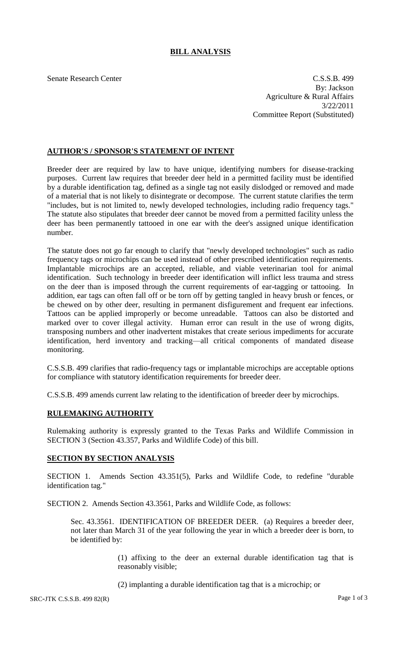## **BILL ANALYSIS**

Senate Research Center C.S.S.B. 499 By: Jackson Agriculture & Rural Affairs 3/22/2011 Committee Report (Substituted)

## **AUTHOR'S / SPONSOR'S STATEMENT OF INTENT**

Breeder deer are required by law to have unique, identifying numbers for disease-tracking purposes. Current law requires that breeder deer held in a permitted facility must be identified by a durable identification tag, defined as a single tag not easily dislodged or removed and made of a material that is not likely to disintegrate or decompose. The current statute clarifies the term "includes, but is not limited to, newly developed technologies, including radio frequency tags." The statute also stipulates that breeder deer cannot be moved from a permitted facility unless the deer has been permanently tattooed in one ear with the deer's assigned unique identification number.

The statute does not go far enough to clarify that "newly developed technologies" such as radio frequency tags or microchips can be used instead of other prescribed identification requirements. Implantable microchips are an accepted, reliable, and viable veterinarian tool for animal identification. Such technology in breeder deer identification will inflict less trauma and stress on the deer than is imposed through the current requirements of ear-tagging or tattooing. In addition, ear tags can often fall off or be torn off by getting tangled in heavy brush or fences, or be chewed on by other deer, resulting in permanent disfigurement and frequent ear infections. Tattoos can be applied improperly or become unreadable. Tattoos can also be distorted and marked over to cover illegal activity. Human error can result in the use of wrong digits, transposing numbers and other inadvertent mistakes that create serious impediments for accurate identification, herd inventory and tracking—all critical components of mandated disease monitoring.

C.S.S.B. 499 clarifies that radio-frequency tags or implantable microchips are acceptable options for compliance with statutory identification requirements for breeder deer.

C.S.S.B. 499 amends current law relating to the identification of breeder deer by microchips.

## **RULEMAKING AUTHORITY**

Rulemaking authority is expressly granted to the Texas Parks and Wildlife Commission in SECTION 3 (Section 43.357, Parks and Wildlife Code) of this bill.

## **SECTION BY SECTION ANALYSIS**

SECTION 1. Amends Section 43.351(5), Parks and Wildlife Code, to redefine "durable identification tag."

SECTION 2. Amends Section 43.3561, Parks and Wildlife Code, as follows:

Sec. 43.3561. IDENTIFICATION OF BREEDER DEER. (a) Requires a breeder deer, not later than March 31 of the year following the year in which a breeder deer is born, to be identified by:

> (1) affixing to the deer an external durable identification tag that is reasonably visible;

(2) implanting a durable identification tag that is a microchip; or

SRC-JTK C.S.S.B. 499 82(R) Page 1 of 3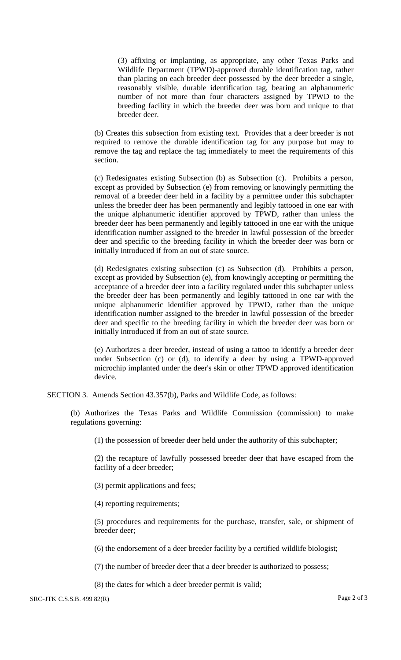(3) affixing or implanting, as appropriate, any other Texas Parks and Wildlife Department (TPWD)-approved durable identification tag, rather than placing on each breeder deer possessed by the deer breeder a single, reasonably visible, durable identification tag, bearing an alphanumeric number of not more than four characters assigned by TPWD to the breeding facility in which the breeder deer was born and unique to that breeder deer.

(b) Creates this subsection from existing text. Provides that a deer breeder is not required to remove the durable identification tag for any purpose but may to remove the tag and replace the tag immediately to meet the requirements of this section.

(c) Redesignates existing Subsection (b) as Subsection (c). Prohibits a person, except as provided by Subsection (e) from removing or knowingly permitting the removal of a breeder deer held in a facility by a permittee under this subchapter unless the breeder deer has been permanently and legibly tattooed in one ear with the unique alphanumeric identifier approved by TPWD, rather than unless the breeder deer has been permanently and legibly tattooed in one ear with the unique identification number assigned to the breeder in lawful possession of the breeder deer and specific to the breeding facility in which the breeder deer was born or initially introduced if from an out of state source.

(d) Redesignates existing subsection (c) as Subsection (d). Prohibits a person, except as provided by Subsection (e), from knowingly accepting or permitting the acceptance of a breeder deer into a facility regulated under this subchapter unless the breeder deer has been permanently and legibly tattooed in one ear with the unique alphanumeric identifier approved by TPWD, rather than the unique identification number assigned to the breeder in lawful possession of the breeder deer and specific to the breeding facility in which the breeder deer was born or initially introduced if from an out of state source.

(e) Authorizes a deer breeder, instead of using a tattoo to identify a breeder deer under Subsection (c) or (d), to identify a deer by using a TPWD-approved microchip implanted under the deer's skin or other TPWD approved identification device.

SECTION 3. Amends Section 43.357(b), Parks and Wildlife Code, as follows:

(b) Authorizes the Texas Parks and Wildlife Commission (commission) to make regulations governing:

(1) the possession of breeder deer held under the authority of this subchapter;

(2) the recapture of lawfully possessed breeder deer that have escaped from the facility of a deer breeder;

(3) permit applications and fees;

(4) reporting requirements;

(5) procedures and requirements for the purchase, transfer, sale, or shipment of breeder deer;

(6) the endorsement of a deer breeder facility by a certified wildlife biologist;

(7) the number of breeder deer that a deer breeder is authorized to possess;

(8) the dates for which a deer breeder permit is valid;